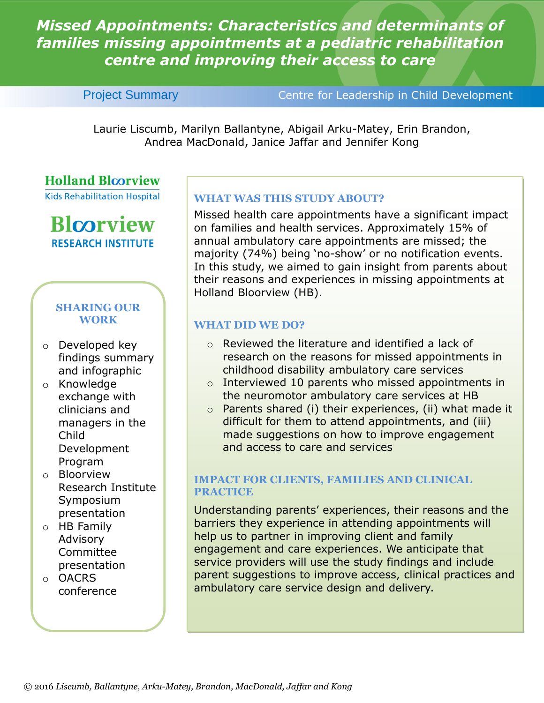*Missed Appointments: Characteristics and determinants of families missing appointments at a pediatric rehabilitation centre and improving their access to care* 

Project Summary Centre for Leadership in Child Development

Laurie Liscumb, Marilyn Ballantyne, Abigail Arku-Matey, Erin Brandon, Andrea MacDonald, Janice Jaffar and Jennifer Kong

### **Holland Bloorview**

**Kids Rehabilitation Hospital** 

## **Blcorview RESEARCH INSTITUTE**

#### **SHARING OUR WORK**

- o Developed key findings summary and infographic
- o Knowledge exchange with clinicians and managers in the Child Development Program
- o Bloorview Research Institute Symposium presentation
- o HB Family Advisory **Committee** presentation
- o OACRS conference

#### **WHAT WAS THIS STUDY ABOUT?**

Missed health care appointments have a significant impact on families and health services. Approximately 15% of annual ambulatory care appointments are missed; the majority (74%) being 'no-show' or no notification events. In this study, we aimed to gain insight from parents about their reasons and experiences in missing appointments at Holland Bloorview (HB).

#### **WHAT DID WE DO?**

- o Reviewed the literature and identified a lack of research on the reasons for missed appointments in childhood disability ambulatory care services
- o Interviewed 10 parents who missed appointments in the neuromotor ambulatory care services at HB
- $\circ$  Parents shared (i) their experiences, (ii) what made it difficult for them to attend appointments, and (iii) made suggestions on how to improve engagement and access to care and services

#### **IMPACT FOR CLIENTS, FAMILIES AND CLINICAL PRACTICE**

Understanding parents' experiences, their reasons and the barriers they experience in attending appointments will help us to partner in improving client and family engagement and care experiences. We anticipate that service providers will use the study findings and include parent suggestions to improve access, clinical practices and ambulatory care service design and delivery.